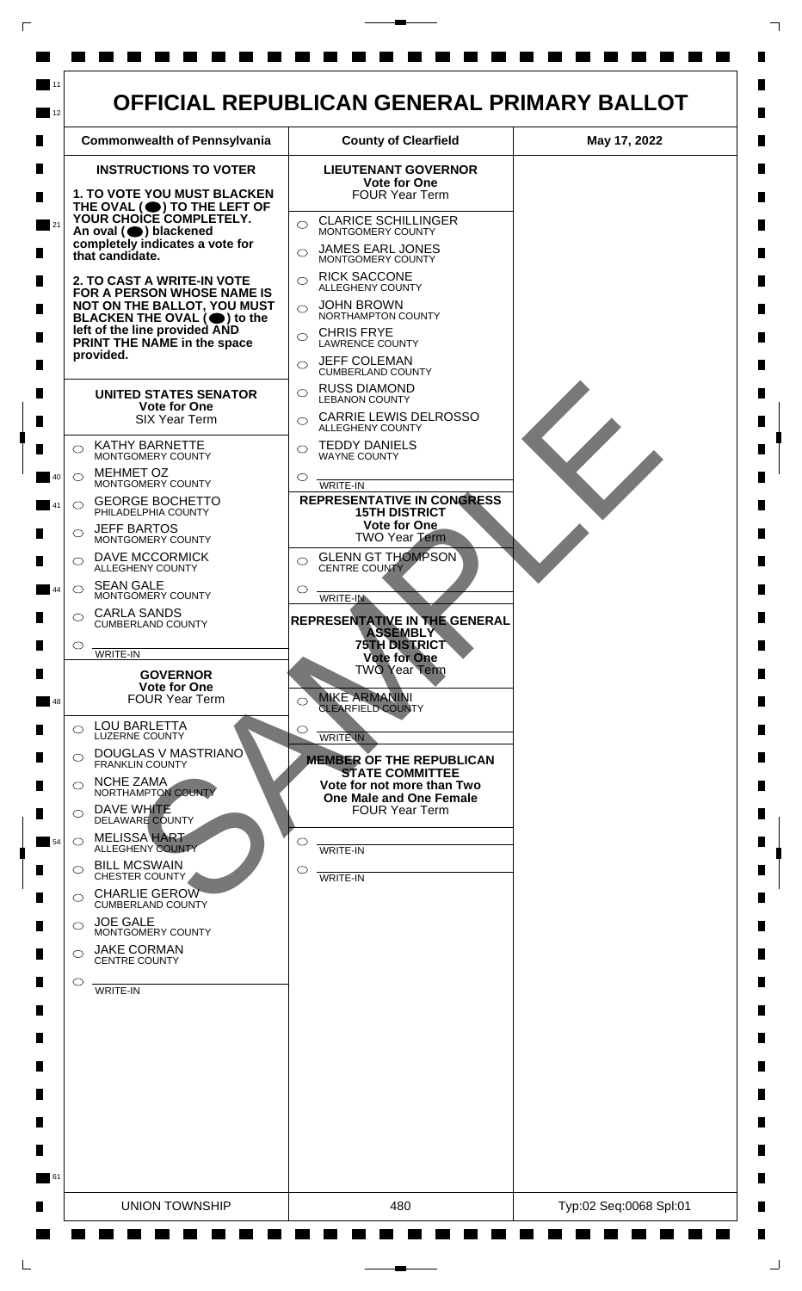

 $\mathsf{L}$ 

 $\Box$